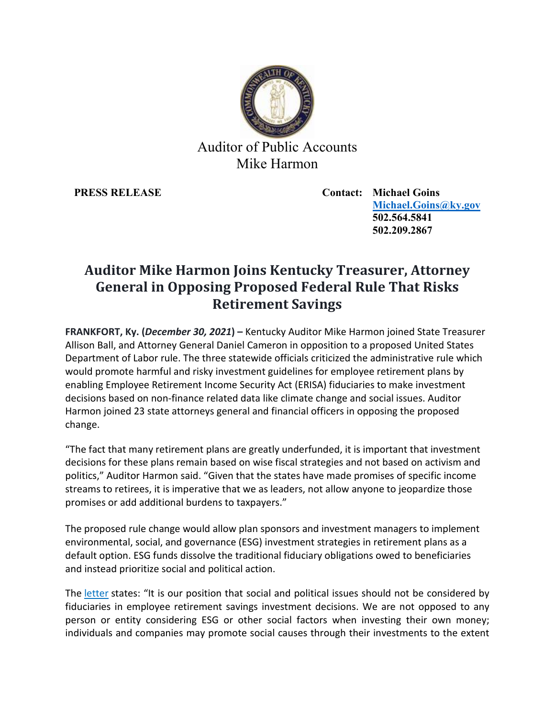

## Auditor of Public Accounts Mike Harmon

**PRESS RELEASE Contact: Michael Goins [Michael.Goins@ky.gov](mailto:Michael.Goins@ky.gov) 502.564.5841 502.209.2867**

## **Auditor Mike Harmon Joins Kentucky Treasurer, Attorney General in Opposing Proposed Federal Rule That Risks Retirement Savings**

**FRANKFORT, Ky. (***December 30, 2021***) –** Kentucky Auditor Mike Harmon joined State Treasurer Allison Ball, and Attorney General Daniel Cameron in opposition to a proposed United States Department of Labor rule. The three statewide officials criticized the administrative rule which would promote harmful and risky investment guidelines for employee retirement plans by enabling Employee Retirement Income Security Act (ERISA) fiduciaries to make investment decisions based on non-finance related data like climate change and social issues. Auditor Harmon joined 23 state attorneys general and financial officers in opposing the proposed change.

"The fact that many retirement plans are greatly underfunded, it is important that investment decisions for these plans remain based on wise fiscal strategies and not based on activism and politics," Auditor Harmon said. "Given that the states have made promises of specific income streams to retirees, it is imperative that we as leaders, not allow anyone to jeopardize those promises or add additional burdens to taxpayers."

The proposed rule change would allow plan sponsors and investment managers to implement environmental, social, and governance (ESG) investment strategies in retirement plans as a default option. ESG funds dissolve the traditional fiduciary obligations owed to beneficiaries and instead prioritize social and political action.

The [letter](https://treasurer.utah.gov/wp-content/uploads/Prudence-and-Loyalty-DOL-Rule-Comment-Letter-Amended.pdf) states: "It is our position that social and political issues should not be considered by fiduciaries in employee retirement savings investment decisions. We are not opposed to any person or entity considering ESG or other social factors when investing their own money; individuals and companies may promote social causes through their investments to the extent